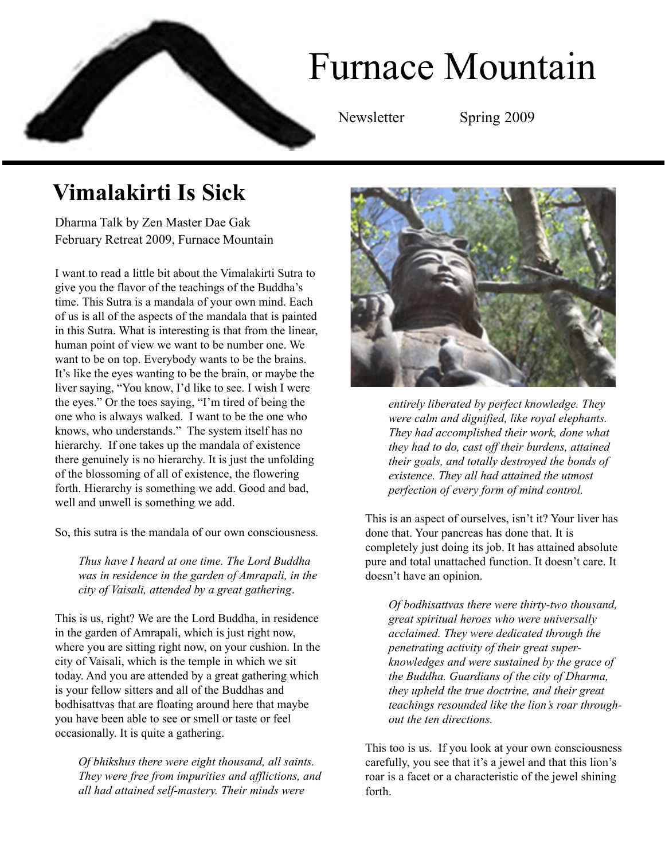## Furnace Mountain Newsletter Spring 2009

## **Vimalakirti Is Sick**

Dharma Talk by Zen Master Dae Gak February Retreat 2009, Furnace Mountain

I want to read a little bit about the Vimalakirti Sutra to give you the flavor of the teachings of the Buddha's time. This Sutra is a mandala of your own mind. Each of us is all of the aspects of the mandala that is painted in this Sutra. What is interesting is that from the linear, human point of view we want to be number one. We want to be on top. Everybody wants to be the brains. It's like the eyes wanting to be the brain, or maybe the liver saying, "You know, I'd like to see. I wish I were the eyes." Or the toes saying, "I'm tired of being the one who is always walked. I want to be the one who knows, who understands." The system itself has no hierarchy. If one takes up the mandala of existence there genuinely is no hierarchy. It is just the unfolding of the blossoming of all of existence, the flowering forth. Hierarchy is something we add. Good and bad, well and unwell is something we add.

So, this sutra is the mandala of our own consciousness.

*Thus have I heard at one time. The Lord Buddha was in residence in the garden of Amrapali, in the city of Vaisali, attended by a great gathering*.

This is us, right? We are the Lord Buddha, in residence in the garden of Amrapali, which is just right now, where you are sitting right now, on your cushion. In the city of Vaisali, which is the temple in which we sit today. And you are attended by a great gathering which is your fellow sitters and all of the Buddhas and bodhisattvas that are floating around here that maybe you have been able to see or smell or taste or feel occasionally. It is quite a gathering.

*Of bhikshus there were eight thousand, all saints. They were free from impurities and afflictions, and all had attained self-mastery. Their minds were*



*entirely liberated by perfect knowledge. They were calm and dignified, like royal elephants. They had accomplished their work, done what they had to do, cast off their burdens, attained their goals, and totally destroyed the bonds of existence. They all had attained the utmost perfection of every form of mind control.*

This is an aspect of ourselves, isn't it? Your liver has done that. Your pancreas has done that. It is completely just doing its job. It has attained absolute pure and total unattached function. It doesn't care. It doesn't have an opinion.

*Of bodhisattvas there were thirty-two thousand, great spiritual heroes who were universally acclaimed. They were dedicated through the penetrating activity of their great superknowledges and were sustained by the grace of the Buddha. Guardians of the city of Dharma, they upheld the true doctrine, and their great teachings resounded like the lion's roar throughout the ten directions.*

This too is us. If you look at your own consciousness carefully, you see that it's a jewel and that this lion's roar is a facet or a characteristic of the jewel shining forth.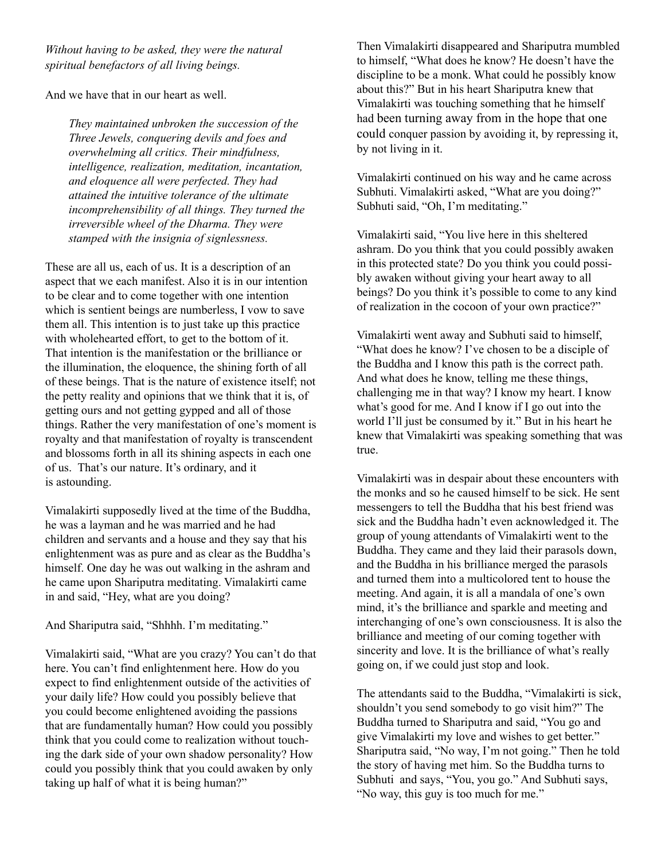*Without having to be asked, they were the natural spiritual benefactors of all living beings.*

And we have that in our heart as well.

*They maintained unbroken the succession of the Three Jewels, conquering devils and foes and overwhelming all critics. Their mindfulness, intelligence, realization, meditation, incantation, and eloquence all were perfected. They had attained the intuitive tolerance of the ultimate incomprehensibility of all things. They turned the irreversible wheel of the Dharma. They were stamped with the insignia of signlessness.*

These are all us, each of us. It is a description of an aspect that we each manifest. Also it is in our intention to be clear and to come together with one intention which is sentient beings are numberless, I vow to save them all. This intention is to just take up this practice with wholehearted effort, to get to the bottom of it. That intention is the manifestation or the brilliance or the illumination, the eloquence, the shining forth of all of these beings. That is the nature of existence itself; not the petty reality and opinions that we think that it is, of getting ours and not getting gypped and all of those things. Rather the very manifestation of one's moment is royalty and that manifestation of royalty is transcendent and blossoms forth in all its shining aspects in each one of us. That's our nature. It's ordinary, and it is astounding.

Vimalakirti supposedly lived at the time of the Buddha, he was a layman and he was married and he had children and servants and a house and they say that his enlightenment was as pure and as clear as the Buddha's himself. One day he was out walking in the ashram and he came upon Shariputra meditating. Vimalakirti came in and said, "Hey, what are you doing?

And Shariputra said, "Shhhh. I'm meditating."

Vimalakirti said, "What are you crazy? You can't do that here. You can't find enlightenment here. How do you expect to find enlightenment outside of the activities of your daily life? How could you possibly believe that you could become enlightened avoiding the passions that are fundamentally human? How could you possibly think that you could come to realization without touching the dark side of your own shadow personality? How could you possibly think that you could awaken by only taking up half of what it is being human?"

Then Vimalakirti disappeared and Shariputra mumbled to himself, "What does he know? He doesn't have the discipline to be a monk. What could he possibly know about this?" But in his heart Shariputra knew that Vimalakirti was touching something that he himself had been turning away from in the hope that one could conquer passion by avoiding it, by repressing it, by not living in it.

Vimalakirti continued on his way and he came across Subhuti. Vimalakirti asked, "What are you doing?" Subhuti said, "Oh, I'm meditating."

Vimalakirti said, "You live here in this sheltered ashram. Do you think that you could possibly awaken in this protected state? Do you think you could possibly awaken without giving your heart away to all beings? Do you think it's possible to come to any kind of realization in the cocoon of your own practice?"

Vimalakirti went away and Subhuti said to himself, "What does he know? I've chosen to be a disciple of the Buddha and I know this path is the correct path. And what does he know, telling me these things, challenging me in that way? I know my heart. I know what's good for me. And I know if I go out into the world I'll just be consumed by it." But in his heart he knew that Vimalakirti was speaking something that was true.

Vimalakirti was in despair about these encounters with the monks and so he caused himself to be sick. He sent messengers to tell the Buddha that his best friend was sick and the Buddha hadn't even acknowledged it. The group of young attendants of Vimalakirti went to the Buddha. They came and they laid their parasols down, and the Buddha in his brilliance merged the parasols and turned them into a multicolored tent to house the meeting. And again, it is all a mandala of one's own mind, it's the brilliance and sparkle and meeting and interchanging of one's own consciousness. It is also the brilliance and meeting of our coming together with sincerity and love. It is the brilliance of what's really going on, if we could just stop and look.

The attendants said to the Buddha, "Vimalakirti is sick, shouldn't you send somebody to go visit him?" The Buddha turned to Shariputra and said, "You go and give Vimalakirti my love and wishes to get better." Shariputra said, "No way, I'm not going." Then he told the story of having met him. So the Buddha turns to Subhuti and says, "You, you go." And Subhuti says, "No way, this guy is too much for me."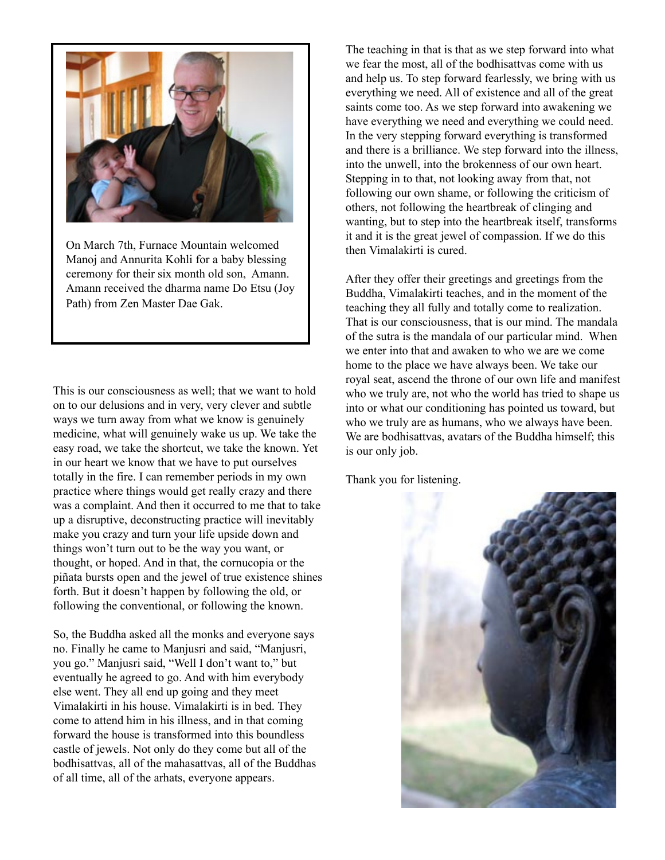

On March 7th, Furnace Mountain welcomed Manoj and Annurita Kohli for a baby blessing ceremony for their six month old son, Amann. Amann received the dharma name Do Etsu (Joy Path) from Zen Master Dae Gak.

This is our consciousness as well; that we want to hold on to our delusions and in very, very clever and subtle ways we turn away from what we know is genuinely medicine, what will genuinely wake us up. We take the easy road, we take the shortcut, we take the known. Yet in our heart we know that we have to put ourselves totally in the fire. I can remember periods in my own practice where things would get really crazy and there was a complaint. And then it occurred to me that to take up a disruptive, deconstructing practice will inevitably make you crazy and turn your life upside down and things won't turn out to be the way you want, or thought, or hoped. And in that, the cornucopia or the piñata bursts open and the jewel of true existence shines forth. But it doesn't happen by following the old, or following the conventional, or following the known.

So, the Buddha asked all the monks and everyone says no. Finally he came to Manjusri and said, "Manjusri, you go." Manjusri said, "Well I don't want to," but eventually he agreed to go. And with him everybody else went. They all end up going and they meet Vimalakirti in his house. Vimalakirti is in bed. They come to attend him in his illness, and in that coming forward the house is transformed into this boundless castle of jewels. Not only do they come but all of the bodhisattvas, all of the mahasattvas, all of the Buddhas of all time, all of the arhats, everyone appears.

The teaching in that is that as we step forward into what we fear the most, all of the bodhisattvas come with us and help us. To step forward fearlessly, we bring with us everything we need. All of existence and all of the great saints come too. As we step forward into awakening we have everything we need and everything we could need. In the very stepping forward everything is transformed and there is a brilliance. We step forward into the illness, into the unwell, into the brokenness of our own heart. Stepping in to that, not looking away from that, not following our own shame, or following the criticism of others, not following the heartbreak of clinging and wanting, but to step into the heartbreak itself, transforms it and it is the great jewel of compassion. If we do this then Vimalakirti is cured.

After they offer their greetings and greetings from the Buddha, Vimalakirti teaches, and in the moment of the teaching they all fully and totally come to realization. That is our consciousness, that is our mind. The mandala of the sutra is the mandala of our particular mind. When we enter into that and awaken to who we are we come home to the place we have always been. We take our royal seat, ascend the throne of our own life and manifest who we truly are, not who the world has tried to shape us into or what our conditioning has pointed us toward, but who we truly are as humans, who we always have been. We are bodhisattvas, avatars of the Buddha himself; this is our only job.

Thank you for listening.